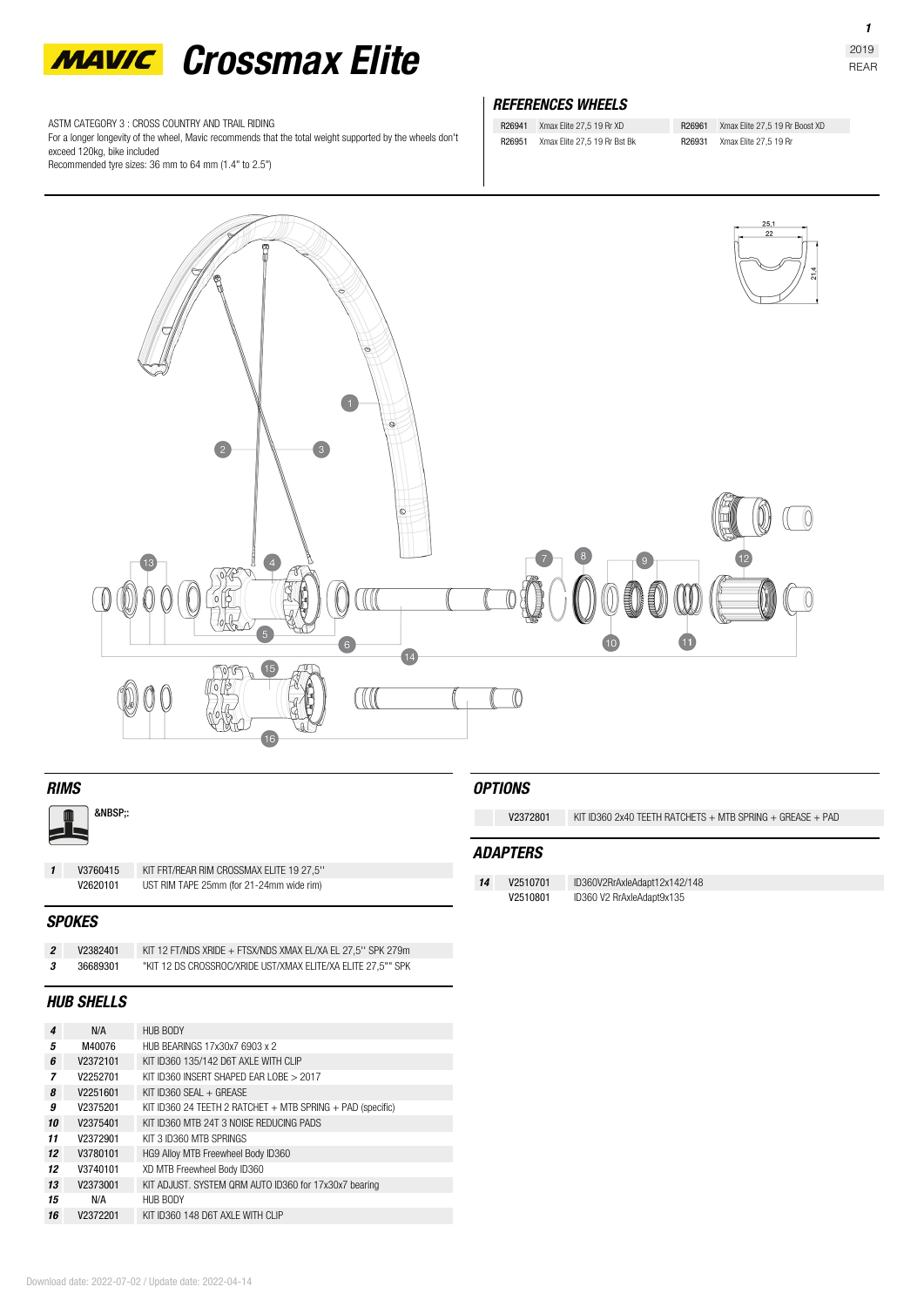

ASTM CATEGORY 3 : CROSS COUNTRY AND TRAIL RIDING

For a longer longevity of the wheel, Mavic recommends that the total weight supported by the wheels don't exceed 120kg, bike included

Recommended tyre sizes: 36 mm to 64 mm (1.4" to 2.5")

#### *REFERENCES WHEELS*

R26941 Xmax Elite 27,5 19 Rr XD R26951 Xmax Elite 27,5 19 Rr Bst Bk R26961 Xmax Elite 27,5 19 Rr Boost XD R26931 Xmax Elite 27,5 19 Rr



#### *RIMS*

&NBSP::

*1* **V3760415** KIT FRT/REAR RIM CROSSMAX ELITE 19 27,5'' UST RIM TAPE 25mm (for 21-24mm wide rim)

#### *SPOKES*

*2* **V2382401** KIT 12 FT/NDS XRIDE + FTSX/NDS XMAX EL/XA EL 27,5'' SPK 279m

*3* **36689301** "KIT 12 DS CROSSROC/XRIDE UST/XMAX ELITE/XA ELITE 27,5"" SPK

#### *HUB SHELLS*

| 4  | N/A      | HUB BODY                                                       |  |
|----|----------|----------------------------------------------------------------|--|
| 5  | M40076   | HUB BEARINGS 17x30x7 6903 x 2                                  |  |
| 6  | V2372101 | KIT ID360 135/142 D6T AXLE WITH CLIP                           |  |
| 7  | V2252701 | KIT ID360 INSERT SHAPED FAR LOBE > 2017                        |  |
| 8  | V2251601 | KIT ID360 SFAI $+$ GREASE                                      |  |
| 9  | V2375201 | KIT ID360 24 TEETH 2 RATCHET $+$ MTB SPRING $+$ PAD (specific) |  |
| 10 | V2375401 | KIT ID360 MTB 24T 3 NOISE REDUCING PADS                        |  |
| 11 | V2372901 | KIT 3 ID360 MTB SPRINGS                                        |  |
| 12 | V3780101 | HG9 Alloy MTB Freewheel Body ID360                             |  |
| 12 | V3740101 | XD MTB Freewheel Body ID360                                    |  |
| 13 | V2373001 | KIT ADJUST. SYSTEM QRM AUTO ID360 for 17x30x7 bearing          |  |
| 15 | N/A      | HUB BODY                                                       |  |
| 16 | V2372201 | KIT ID360 148 D6T AXI F WITH CLIP                              |  |
|    |          |                                                                |  |

#### *OPTIONS*

**V2372801** KIT ID360 2x40 TEETH RATCHETS + MTB SPRING + GREASE + PAD

#### *ADAPTERS*

**14 V2510701** ID360V2RrAxleAdapt12x142/148<br>**V2510801** ID360 V2 RrAxleAdapt9x135

**V2510801** ID360 V2 RrAxleAdapt9x135

*1*